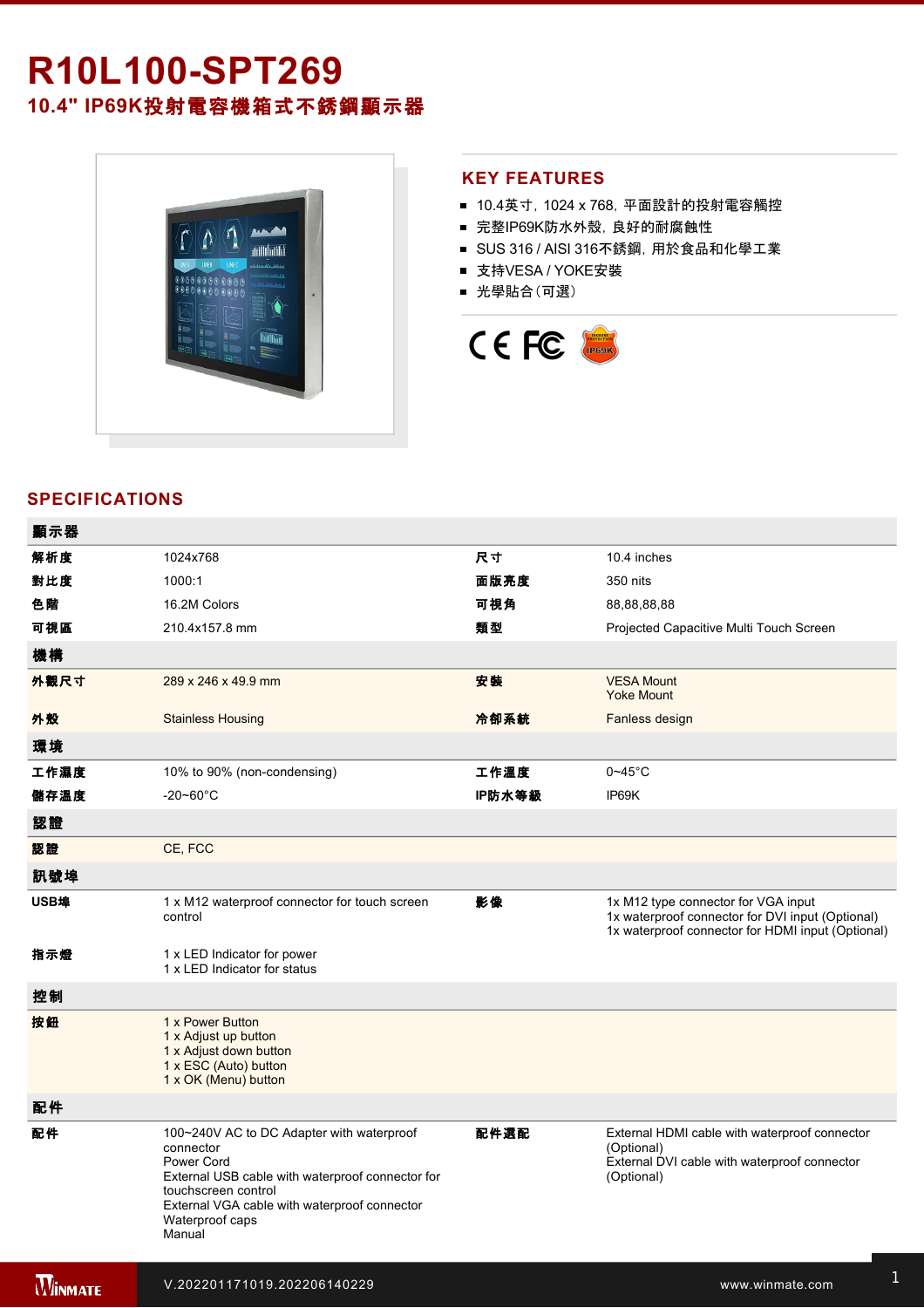# **R10L100SPT269 10.4" IP69K**投射電容機箱式不銹鋼顯示器



### **KEY FEATURES**

- 10.4英寸, 1024 x 768, 平面設計的投射電容觸控
- 完整IP69K防水外殼, 良好的耐腐蝕性
- SUS 316 / AISI 316不銹鋼, 用於食品和化學工業
- 支持VESA / YOKE安裝
- 光學貼合(可選)



## **SPECIFICATIONS**

電源規格 12V DC (M12 type)

| 顯示器            |                                                                                                                                                                                                                              |        |                                                                                                                                              |
|----------------|------------------------------------------------------------------------------------------------------------------------------------------------------------------------------------------------------------------------------|--------|----------------------------------------------------------------------------------------------------------------------------------------------|
| 解析度            | 1024x768                                                                                                                                                                                                                     | 尺寸     | 10.4 inches                                                                                                                                  |
| 對比度            | 1000:1                                                                                                                                                                                                                       | 面版亮度   | 350 nits                                                                                                                                     |
| 色階             | 16.2M Colors                                                                                                                                                                                                                 | 可視角    | 88,88,88,88                                                                                                                                  |
| 可視區            | 210.4x157.8 mm                                                                                                                                                                                                               | 類型     | Projected Capacitive Multi Touch Screen                                                                                                      |
| 機構             |                                                                                                                                                                                                                              |        |                                                                                                                                              |
| 外觀尺寸           | 289 x 246 x 49.9 mm                                                                                                                                                                                                          | 安装     | <b>VESA Mount</b><br><b>Yoke Mount</b>                                                                                                       |
| 外殼             | <b>Stainless Housing</b>                                                                                                                                                                                                     | 冷卻系統   | Fanless design                                                                                                                               |
| 環境             |                                                                                                                                                                                                                              |        |                                                                                                                                              |
| 工作濕度           | 10% to 90% (non-condensing)                                                                                                                                                                                                  | 工作溫度   | $0 - 45$ °C                                                                                                                                  |
| 儲存溫度           | $-20 - 60^{\circ}$ C                                                                                                                                                                                                         | IP防水等級 | IP69K                                                                                                                                        |
| 認證             |                                                                                                                                                                                                                              |        |                                                                                                                                              |
| 認證             | CE, FCC                                                                                                                                                                                                                      |        |                                                                                                                                              |
| 訊號埠            |                                                                                                                                                                                                                              |        |                                                                                                                                              |
| USB埠           | 1 x M12 waterproof connector for touch screen<br>control                                                                                                                                                                     | 影像     | 1x M12 type connector for VGA input<br>1x waterproof connector for DVI input (Optional)<br>1x waterproof connector for HDMI input (Optional) |
| 指示燈            | 1 x LED Indicator for power<br>1 x LED Indicator for status                                                                                                                                                                  |        |                                                                                                                                              |
| 控制             |                                                                                                                                                                                                                              |        |                                                                                                                                              |
| 按鈕             | 1 x Power Button<br>1 x Adjust up button<br>1 x Adjust down button<br>1 x ESC (Auto) button<br>1 x OK (Menu) button                                                                                                          |        |                                                                                                                                              |
| 配件             |                                                                                                                                                                                                                              |        |                                                                                                                                              |
| 配件             | 100~240V AC to DC Adapter with waterproof<br>connector<br>Power Cord<br>External USB cable with waterproof connector for<br>touchscreen control<br>External VGA cable with waterproof connector<br>Waterproof caps<br>Manual | 配件選配   | External HDMI cable with waterproof connector<br>(Optional)<br>External DVI cable with waterproof connector<br>(Optional)                    |
| <b>WINNATE</b> | V.202201171019.202206140229                                                                                                                                                                                                  |        | www.winmate.com                                                                                                                              |